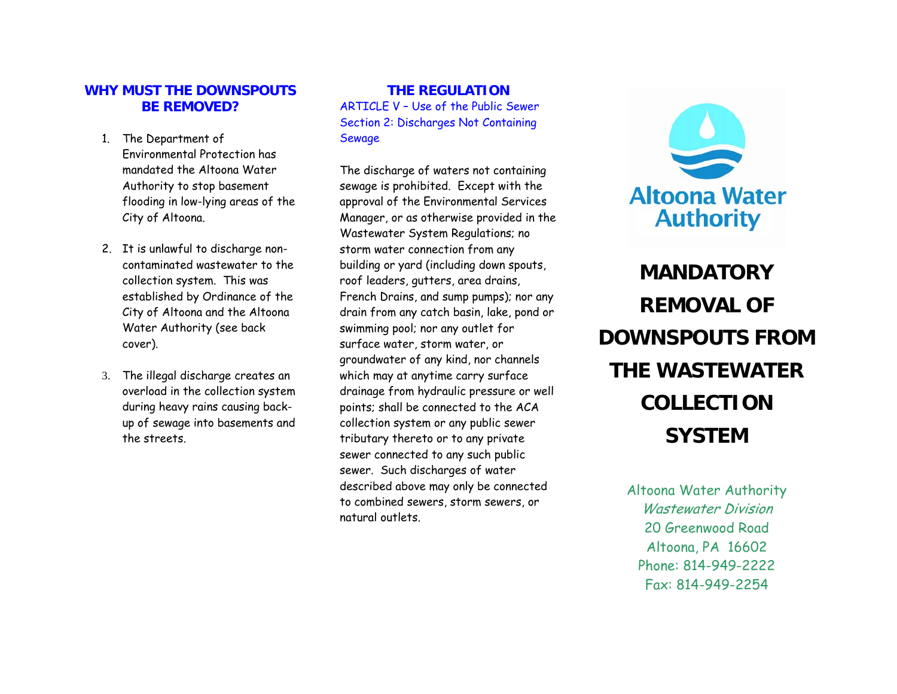#### **WHY MUST THE DOWNSPOUTS BE REMOVED?**

- 1. The Department of Environmental Protection has mandated the Altoona Water Authority to stop basement flooding in low-lying areas of the City of Altoona.
- 2. It is unlawful to discharge noncontaminated wastewater to the collection system. This was established by Ordinance of the City of Altoona and the Altoona Water Authority (see back cover).
- 3. The illegal discharge creates an overload in the collection system during heavy rains causing backup of sewage into basements and the streets.

#### **THE REGULATION** ARTICLE V – Use of the Public Sewer Section 2: Discharges Not Containing Sewage

The discharge of waters not containing sewage is prohibited. Except with the approval of the Environmental Services Manager, or as otherwise provided in the Wastewater System Regulations; no storm water connection from any building or yard (including down spouts, roof leaders, gutters, area drains, French Drains, and sump pumps); nor any drain from any catch basin, lake, pond or swimming pool; nor any outlet for surface water, storm water, or groundwater of any kind, nor channels which may at anytime carry surface drainage from hydraulic pressure or well points; shall be connected to the ACA collection system or any public sewer tributary thereto or to any private sewer connected to any such public sewer. Such discharges of water described above may only be connected to combined sewers, storm sewers, or natural outlets.



**MANDATORY REMOVAL OF DOWNSPOUTS FROM THE WASTEWATER COLLECTION SYSTEM** 

> Altoona Water Authority Wastewater Division 20 Greenwood Road Altoona, PA 16602 Phone: 814-949-2222 Fax: 814-949-2254